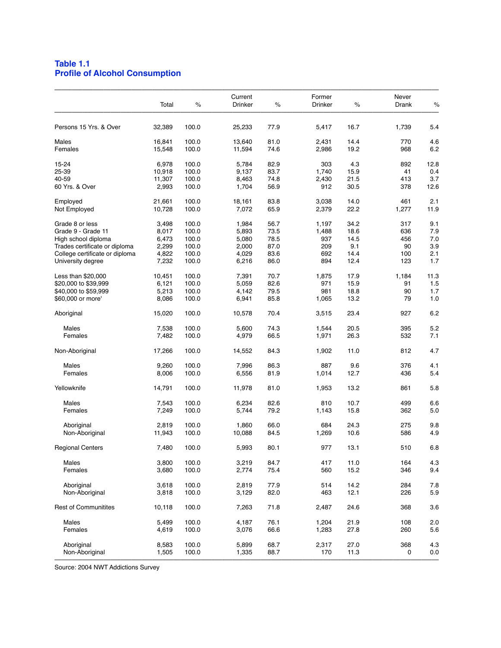## **Table 1.1 Profile of Alcohol Consumption**

|                                | Total            | $\%$           | Current<br>Drinker | ℅            | Former<br><b>Drinker</b> | $\%$         | Never<br>Drank | $\%$       |
|--------------------------------|------------------|----------------|--------------------|--------------|--------------------------|--------------|----------------|------------|
| Persons 15 Yrs. & Over         | 32,389           | 100.0          | 25,233             | 77.9         | 5,417                    | 16.7         | 1,739          | 5.4        |
| Males<br>Females               | 16,841<br>15,548 | 100.0<br>100.0 | 13,640<br>11,594   | 81.0<br>74.6 | 2,431<br>2,986           | 14.4<br>19.2 | 770<br>968     | 4.6<br>6.2 |
|                                |                  |                |                    |              |                          |              |                |            |
| 15-24                          | 6,978            | 100.0          | 5,784              | 82.9         | 303                      | 4.3          | 892            | 12.8       |
| 25-39                          | 10,918           | 100.0          | 9,137              | 83.7         | 1,740                    | 15.9         | 41             | 0.4        |
| 40-59                          | 11,307           | 100.0          | 8,463              | 74.8         | 2,430                    | 21.5         | 413            | 3.7        |
| 60 Yrs. & Over                 | 2,993            | 100.0          | 1,704              | 56.9         | 912                      | 30.5         | 378            | 12.6       |
| Employed                       | 21,661           | 100.0          | 18,161             | 83.8         | 3,038                    | 14.0         | 461            | 2.1        |
| Not Employed                   | 10,728           | 100.0          | 7,072              | 65.9         | 2,379                    | 22.2         | 1,277          | 11.9       |
| Grade 8 or less                | 3,498            | 100.0          | 1,984              | 56.7         | 1,197                    | 34.2         | 317            | 9.1        |
| Grade 9 - Grade 11             | 8,017            | 100.0          | 5,893              | 73.5         | 1,488                    | 18.6         | 636            | 7.9        |
| High school diploma            | 6,473            | 100.0          | 5,080              | 78.5         | 937                      | 14.5         | 456            | 7.0        |
| Trades certificate or diploma  | 2,299            | 100.0          | 2,000              | 87.0         | 209                      | 9.1          | 90             | 3.9        |
| College certificate or diploma | 4,822            | 100.0          | 4,029              | 83.6         | 692                      | 14.4         | 100            | 2.1        |
| University degree              | 7,232            | 100.0          | 6,216              | 86.0         | 894                      | 12.4         | 123            | 1.7        |
|                                |                  |                |                    |              |                          |              |                |            |
| Less than \$20,000             | 10,451           | 100.0          | 7,391              | 70.7         | 1,875                    | 17.9         | 1,184          | 11.3       |
| \$20,000 to \$39,999           | 6,121            | 100.0          | 5,059              | 82.6         | 971                      | 15.9         | 91             | 1.5        |
| \$40,000 to \$59,999           | 5,213            | 100.0          | 4,142              | 79.5         | 981                      | 18.8         | 90             | 1.7        |
| \$60,000 or more'              | 8,086            | 100.0          | 6,941              | 85.8         | 1,065                    | 13.2         | 79             | 1.0        |
| Aboriginal                     | 15,020           | 100.0          | 10,578             | 70.4         | 3,515                    | 23.4         | 927            | 6.2        |
| Males                          | 7,538            | 100.0          | 5,600              | 74.3         | 1,544                    | 20.5         | 395            | 5.2        |
| Females                        | 7,482            | 100.0          | 4,979              | 66.5         | 1,971                    | 26.3         | 532            | 7.1        |
| Non-Aboriginal                 | 17,266           | 100.0          | 14,552             | 84.3         | 1,902                    | 11.0         | 812            | 4.7        |
| Males                          | 9,260            | 100.0          | 7,996              | 86.3         | 887                      | 9.6          | 376            | 4.1        |
| Females                        | 8,006            | 100.0          | 6,556              | 81.9         | 1,014                    | 12.7         | 436            | 5.4        |
|                                |                  |                |                    |              |                          |              |                |            |
| Yellowknife                    | 14,791           | 100.0          | 11,978             | 81.0         | 1,953                    | 13.2         | 861            | 5.8        |
| Males                          | 7,543            | 100.0          | 6,234              | 82.6         | 810                      | 10.7         | 499            | 6.6        |
| Females                        | 7,249            | 100.0          | 5,744              | 79.2         | 1,143                    | 15.8         | 362            | 5.0        |
| Aboriginal                     | 2,819            | 100.0          | 1,860              | 66.0         | 684                      | 24.3         | 275            | 9.8        |
| Non-Aboriginal                 | 11,943           | 100.0          | 10,088             | 84.5         | 1,269                    | 10.6         | 586            | 4.9        |
|                                |                  |                |                    |              |                          |              |                |            |
| <b>Regional Centers</b>        | 7,480            | 100.0          | 5,993              | 80.1         | 977                      | 13.1         | 510            | 6.8        |
| Males                          | 3,800            | 100.0          | 3,219              | 84.7         | 417                      | 11.0         | 164            | 4.3        |
| Females                        | 3,680            | 100.0          | 2,774              | 75.4         | 560                      | 15.2         | 346            | 9.4        |
| Aboriginal                     | 3,618            | 100.0          |                    |              | 514                      | 14.2         | 284            | 7.8        |
|                                |                  |                | 2,819              | 77.9         |                          |              |                |            |
| Non-Aboriginal                 | 3,818            | 100.0          | 3,129              | 82.0         | 463                      | 12.1         | 226            | 5.9        |
| Rest of Communitites           | 10,118           | 100.0          | 7,263              | 71.8         | 2,487                    | 24.6         | 368            | 3.6        |
| Males                          | 5,499            | 100.0          | 4,187              | 76.1         | 1,204                    | 21.9         | 108            | 2.0        |
| Females                        | 4,619            | 100.0          | 3,076              | 66.6         | 1,283                    | 27.8         | 260            | 5.6        |
|                                |                  |                |                    |              |                          |              |                |            |
| Aboriginal                     | 8,583            | 100.0          | 5,899              | 68.7         | 2,317                    | 27.0         | 368            | 4.3        |
| Non-Aboriginal                 | 1,505            | 100.0          | 1,335              | 88.7         | 170                      | 11.3         | 0              | 0.0        |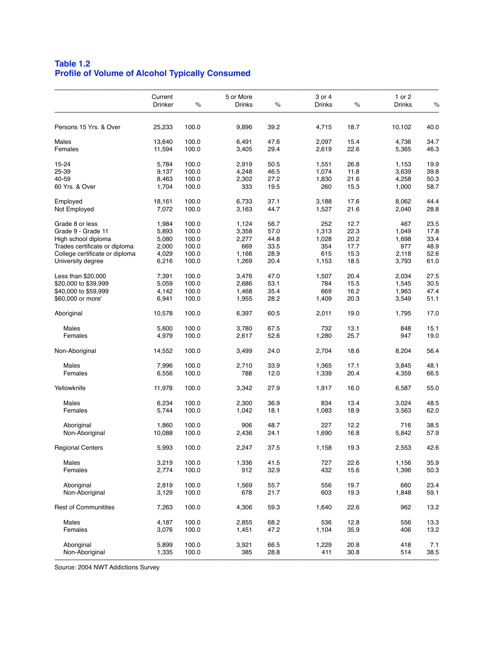## **Table 1.2 Profile of Volume of Alcohol Typically Consumed**

| Persons 15 Yrs. & Over<br>25,233<br>100.0<br>Males<br>13,640<br>100.0<br>Females<br>11,594<br>100.0<br>15-24<br>5,784<br>100.0<br>25-39<br>9,137<br>100.0<br>40-59<br>8,463<br>100.0<br>60 Yrs. & Over<br>1,704<br>100.0<br>Employed<br>18,161<br>100.0<br>7,072<br>100.0<br>Not Employed<br>100.0<br>Grade 8 or less<br>1,984<br>Grade 9 - Grade 11<br>5,893<br>100.0<br>100.0<br>High school diploma<br>5,080<br>Trades certificate or diploma<br>2,000<br>100.0<br>College certificate or diploma<br>4,029<br>100.0<br>University degree<br>6,216<br>100.0<br>100.0<br>Less than \$20,000<br>7,391<br>\$20,000 to \$39,999<br>100.0<br>5,059<br>\$40,000 to \$59,999<br>4,142<br>100.0<br>\$60,000 or more'<br>6,941<br>100.0<br>100.0<br>Aboriginal<br>10,578 | 9,896<br>6,491<br>3,405<br>2,919<br>4,248<br>2,302<br>333<br>6,733<br>3,163<br>1,124<br>3,358<br>2,277<br>669<br>1,166<br>1,269<br>3,476<br>2,686 | 39.2<br>47.6<br>29.4<br>50.5<br>46.5<br>27.2<br>19.5<br>37.1<br>44.7<br>56.7<br>57.0<br>44.8<br>33.5<br>28.9<br>20.4 | 4,715<br>2,097<br>2,619<br>1,551<br>1,074<br>1,830<br>260<br>3,188<br>1,527<br>252<br>1,313<br>1,028<br>354<br>615 | 18.7<br>15.4<br>22.6<br>26.8<br>11.8<br>21.6<br>15.3<br>17.6<br>21.6<br>12.7<br>22.3<br>20.2<br>17.7 | 10,102<br>4,736<br>5,365<br>1,153<br>3,639<br>4,258<br>1,000<br>8,062<br>2,040<br>467<br>1,049<br>1,698<br>977 | 40.0<br>34.7<br>46.3<br>19.9<br>39.8<br>50.3<br>58.7<br>44.4<br>28.8<br>23.5<br>17.8<br>33.4 |
|-------------------------------------------------------------------------------------------------------------------------------------------------------------------------------------------------------------------------------------------------------------------------------------------------------------------------------------------------------------------------------------------------------------------------------------------------------------------------------------------------------------------------------------------------------------------------------------------------------------------------------------------------------------------------------------------------------------------------------------------------------------------|---------------------------------------------------------------------------------------------------------------------------------------------------|----------------------------------------------------------------------------------------------------------------------|--------------------------------------------------------------------------------------------------------------------|------------------------------------------------------------------------------------------------------|----------------------------------------------------------------------------------------------------------------|----------------------------------------------------------------------------------------------|
|                                                                                                                                                                                                                                                                                                                                                                                                                                                                                                                                                                                                                                                                                                                                                                   |                                                                                                                                                   |                                                                                                                      |                                                                                                                    |                                                                                                      |                                                                                                                |                                                                                              |
|                                                                                                                                                                                                                                                                                                                                                                                                                                                                                                                                                                                                                                                                                                                                                                   |                                                                                                                                                   |                                                                                                                      |                                                                                                                    |                                                                                                      |                                                                                                                |                                                                                              |
|                                                                                                                                                                                                                                                                                                                                                                                                                                                                                                                                                                                                                                                                                                                                                                   |                                                                                                                                                   |                                                                                                                      |                                                                                                                    |                                                                                                      |                                                                                                                |                                                                                              |
|                                                                                                                                                                                                                                                                                                                                                                                                                                                                                                                                                                                                                                                                                                                                                                   |                                                                                                                                                   |                                                                                                                      |                                                                                                                    |                                                                                                      |                                                                                                                |                                                                                              |
|                                                                                                                                                                                                                                                                                                                                                                                                                                                                                                                                                                                                                                                                                                                                                                   |                                                                                                                                                   |                                                                                                                      |                                                                                                                    |                                                                                                      |                                                                                                                |                                                                                              |
|                                                                                                                                                                                                                                                                                                                                                                                                                                                                                                                                                                                                                                                                                                                                                                   |                                                                                                                                                   |                                                                                                                      |                                                                                                                    |                                                                                                      |                                                                                                                |                                                                                              |
|                                                                                                                                                                                                                                                                                                                                                                                                                                                                                                                                                                                                                                                                                                                                                                   |                                                                                                                                                   |                                                                                                                      |                                                                                                                    |                                                                                                      |                                                                                                                |                                                                                              |
|                                                                                                                                                                                                                                                                                                                                                                                                                                                                                                                                                                                                                                                                                                                                                                   |                                                                                                                                                   |                                                                                                                      |                                                                                                                    |                                                                                                      |                                                                                                                |                                                                                              |
|                                                                                                                                                                                                                                                                                                                                                                                                                                                                                                                                                                                                                                                                                                                                                                   |                                                                                                                                                   |                                                                                                                      |                                                                                                                    |                                                                                                      |                                                                                                                |                                                                                              |
|                                                                                                                                                                                                                                                                                                                                                                                                                                                                                                                                                                                                                                                                                                                                                                   |                                                                                                                                                   |                                                                                                                      |                                                                                                                    |                                                                                                      |                                                                                                                |                                                                                              |
|                                                                                                                                                                                                                                                                                                                                                                                                                                                                                                                                                                                                                                                                                                                                                                   |                                                                                                                                                   |                                                                                                                      |                                                                                                                    |                                                                                                      |                                                                                                                |                                                                                              |
|                                                                                                                                                                                                                                                                                                                                                                                                                                                                                                                                                                                                                                                                                                                                                                   |                                                                                                                                                   |                                                                                                                      |                                                                                                                    |                                                                                                      |                                                                                                                | 48.9                                                                                         |
|                                                                                                                                                                                                                                                                                                                                                                                                                                                                                                                                                                                                                                                                                                                                                                   |                                                                                                                                                   |                                                                                                                      |                                                                                                                    | 15.3                                                                                                 | 2,118                                                                                                          | 52.6                                                                                         |
|                                                                                                                                                                                                                                                                                                                                                                                                                                                                                                                                                                                                                                                                                                                                                                   |                                                                                                                                                   |                                                                                                                      | 1,153                                                                                                              | 18.5                                                                                                 | 3,793                                                                                                          | 61.0                                                                                         |
|                                                                                                                                                                                                                                                                                                                                                                                                                                                                                                                                                                                                                                                                                                                                                                   |                                                                                                                                                   | 47.0                                                                                                                 | 1,507                                                                                                              | 20.4                                                                                                 | 2,034                                                                                                          | 27.5                                                                                         |
|                                                                                                                                                                                                                                                                                                                                                                                                                                                                                                                                                                                                                                                                                                                                                                   |                                                                                                                                                   | 53.1                                                                                                                 | 784                                                                                                                | 15.5                                                                                                 | 1,545                                                                                                          | 30.5                                                                                         |
|                                                                                                                                                                                                                                                                                                                                                                                                                                                                                                                                                                                                                                                                                                                                                                   | 1,468                                                                                                                                             | 35.4                                                                                                                 | 669                                                                                                                | 16.2                                                                                                 | 1,963                                                                                                          | 47.4                                                                                         |
|                                                                                                                                                                                                                                                                                                                                                                                                                                                                                                                                                                                                                                                                                                                                                                   | 1,955                                                                                                                                             | 28.2                                                                                                                 | 1,409                                                                                                              | 20.3                                                                                                 | 3,549                                                                                                          | 51.1                                                                                         |
|                                                                                                                                                                                                                                                                                                                                                                                                                                                                                                                                                                                                                                                                                                                                                                   | 6,397                                                                                                                                             | 60.5                                                                                                                 | 2,011                                                                                                              | 19.0                                                                                                 | 1,795                                                                                                          | 17.0                                                                                         |
| 5,600<br>100.0<br>Males                                                                                                                                                                                                                                                                                                                                                                                                                                                                                                                                                                                                                                                                                                                                           | 3,780                                                                                                                                             | 67.5                                                                                                                 | 732                                                                                                                | 13.1                                                                                                 | 848                                                                                                            | 15.1                                                                                         |
| Females<br>4,979<br>100.0                                                                                                                                                                                                                                                                                                                                                                                                                                                                                                                                                                                                                                                                                                                                         | 2,617                                                                                                                                             | 52.6                                                                                                                 | 1,280                                                                                                              | 25.7                                                                                                 | 947                                                                                                            | 19.0                                                                                         |
| Non-Aboriginal<br>14,552<br>100.0                                                                                                                                                                                                                                                                                                                                                                                                                                                                                                                                                                                                                                                                                                                                 | 3,499                                                                                                                                             | 24.0                                                                                                                 | 2,704                                                                                                              | 18.6                                                                                                 | 8,204                                                                                                          | 56.4                                                                                         |
| Males<br>7,996<br>100.0                                                                                                                                                                                                                                                                                                                                                                                                                                                                                                                                                                                                                                                                                                                                           | 2,710                                                                                                                                             | 33.9                                                                                                                 | 1,365                                                                                                              | 17.1                                                                                                 | 3,845                                                                                                          | 48.1                                                                                         |
| 100.0<br>Females<br>6,556                                                                                                                                                                                                                                                                                                                                                                                                                                                                                                                                                                                                                                                                                                                                         | 788                                                                                                                                               | 12.0                                                                                                                 | 1,339                                                                                                              | 20.4                                                                                                 | 4,359                                                                                                          | 66.5                                                                                         |
| Yellowknife<br>11,978<br>100.0                                                                                                                                                                                                                                                                                                                                                                                                                                                                                                                                                                                                                                                                                                                                    | 3,342                                                                                                                                             | 27.9                                                                                                                 | 1,917                                                                                                              | 16.0                                                                                                 | 6,587                                                                                                          | 55.0                                                                                         |
| Males<br>6,234<br>100.0                                                                                                                                                                                                                                                                                                                                                                                                                                                                                                                                                                                                                                                                                                                                           | 2,300                                                                                                                                             | 36.9                                                                                                                 | 834                                                                                                                | 13.4                                                                                                 | 3,024                                                                                                          | 48.5                                                                                         |
| Females<br>5,744<br>100.0                                                                                                                                                                                                                                                                                                                                                                                                                                                                                                                                                                                                                                                                                                                                         | 1,042                                                                                                                                             | 18.1                                                                                                                 | 1,083                                                                                                              | 18.9                                                                                                 | 3,563                                                                                                          | 62.0                                                                                         |
| Aboriginal<br>1,860<br>100.0                                                                                                                                                                                                                                                                                                                                                                                                                                                                                                                                                                                                                                                                                                                                      | 906                                                                                                                                               | 48.7                                                                                                                 | 227                                                                                                                | 12.2                                                                                                 | 716                                                                                                            | 38.5                                                                                         |
| Non-Aboriginal<br>10,088<br>100.0                                                                                                                                                                                                                                                                                                                                                                                                                                                                                                                                                                                                                                                                                                                                 | 2,436                                                                                                                                             | 24.1                                                                                                                 | 1,690                                                                                                              | 16.8                                                                                                 | 5,842                                                                                                          | 57.9                                                                                         |
| <b>Regional Centers</b><br>5,993<br>100.0                                                                                                                                                                                                                                                                                                                                                                                                                                                                                                                                                                                                                                                                                                                         | 2,247                                                                                                                                             | 37.5                                                                                                                 | 1,158                                                                                                              | 19.3                                                                                                 | 2,553                                                                                                          | 42.6                                                                                         |
| Males<br>3,219<br>100.0                                                                                                                                                                                                                                                                                                                                                                                                                                                                                                                                                                                                                                                                                                                                           | 1,336                                                                                                                                             | 41.5                                                                                                                 | 727                                                                                                                | 22.6                                                                                                 | 1,156                                                                                                          | 35.9                                                                                         |
| Females<br>2,774<br>100.0                                                                                                                                                                                                                                                                                                                                                                                                                                                                                                                                                                                                                                                                                                                                         | 912                                                                                                                                               | 32.9                                                                                                                 | 432                                                                                                                | 15.6                                                                                                 | 1,396                                                                                                          | 50.3                                                                                         |
| Aboriginal<br>100.0<br>2,819                                                                                                                                                                                                                                                                                                                                                                                                                                                                                                                                                                                                                                                                                                                                      | 1,569                                                                                                                                             | 55.7                                                                                                                 | 556                                                                                                                | 19.7                                                                                                 | 660                                                                                                            | 23.4                                                                                         |
| Non-Aboriginal<br>100.0<br>3,129                                                                                                                                                                                                                                                                                                                                                                                                                                                                                                                                                                                                                                                                                                                                  | 678                                                                                                                                               | 21.7                                                                                                                 | 603                                                                                                                | 19.3                                                                                                 | 1,848                                                                                                          | 59.1                                                                                         |
| <b>Rest of Communitites</b><br>7,263<br>100.0                                                                                                                                                                                                                                                                                                                                                                                                                                                                                                                                                                                                                                                                                                                     | 4,306                                                                                                                                             | 59.3                                                                                                                 | 1,640                                                                                                              | 22.6                                                                                                 | 962                                                                                                            | 13.2                                                                                         |
| Males<br>100.0<br>4,187                                                                                                                                                                                                                                                                                                                                                                                                                                                                                                                                                                                                                                                                                                                                           | 2,855                                                                                                                                             | 68.2                                                                                                                 | 536                                                                                                                | 12.8                                                                                                 | 556                                                                                                            | 13.3                                                                                         |
| Females<br>100.0<br>3,076                                                                                                                                                                                                                                                                                                                                                                                                                                                                                                                                                                                                                                                                                                                                         | 1,451                                                                                                                                             | 47.2                                                                                                                 | 1,104                                                                                                              | 35.9                                                                                                 | 406                                                                                                            | 13.2                                                                                         |
| Aboriginal<br>100.0<br>5,899                                                                                                                                                                                                                                                                                                                                                                                                                                                                                                                                                                                                                                                                                                                                      | 3,921                                                                                                                                             | 66.5                                                                                                                 | 1,229                                                                                                              | 20.8                                                                                                 | 418                                                                                                            | 7.1                                                                                          |
| Non-Aboriginal<br>1,335<br>100.0                                                                                                                                                                                                                                                                                                                                                                                                                                                                                                                                                                                                                                                                                                                                  | 385                                                                                                                                               | 28.8                                                                                                                 | 411                                                                                                                | 30.8                                                                                                 | 514                                                                                                            | 38.5                                                                                         |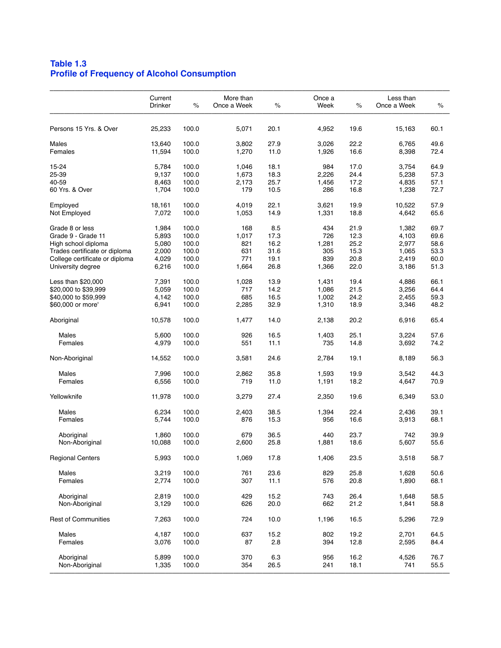# **Table 1.3 Profile of Frequency of Alcohol Consumption**

| Persons 15 Yrs. & Over<br>100.0<br>25,233<br>5,071<br>20.1<br>4,952<br>19.6<br>Males<br>13,640<br>100.0<br>3,802<br>27.9<br>3,026<br>22.2<br>Females<br>11,594<br>100.0<br>1,270<br>11.0<br>1,926<br>16.6<br>15-24<br>100.0<br>18.1<br>17.0<br>5,784<br>1,046<br>984<br>25-39<br>9,137<br>100.0<br>1,673<br>18.3<br>2,226<br>24.4<br>40-59<br>8,463<br>100.0<br>2,173<br>25.7<br>17.2<br>1,456<br>100.0<br>179<br>10.5<br>286<br>16.8<br>60 Yrs. & Over<br>1,704<br>100.0<br>4,019<br>22.1<br>19.9<br>Employed<br>18,161<br>3,621<br>Not Employed<br>7,072<br>100.0<br>1,053<br>14.9<br>1,331<br>18.8<br>Grade 8 or less<br>100.0<br>8.5<br>21.9<br>1,984<br>168<br>434<br>12.3<br>Grade 9 - Grade 11<br>5,893<br>100.0<br>1,017<br>17.3<br>726<br>5,080<br>100.0<br>821<br>16.2<br>1,281<br>25.2<br>High school diploma<br>2,000<br>100.0<br>631<br>31.6<br>15.3<br>Trades certificate or diploma<br>305<br>20.8<br>College certificate or diploma<br>4,029<br>100.0<br>771<br>19.1<br>839<br>University degree<br>100.0<br>26.8<br>22.0<br>6,216<br>1,664<br>1,366<br>100.0<br>13.9<br>19.4<br>Less than $$20,000$<br>7,391<br>1,028<br>1,431<br>14.2<br>21.5<br>\$20,000 to \$39,999<br>5,059<br>100.0<br>717<br>1,086<br>\$40,000 to \$59,999<br>4,142<br>100.0<br>685<br>16.5<br>1,002<br>24.2<br>\$60,000 or more'<br>100.0<br>2,285<br>32.9<br>1,310<br>18.9<br>6,941 | 15,163<br>60.1<br>6,765<br>49.6<br>8,398<br>72.4<br>3,754<br>64.9<br>5,238<br>57.3<br>4,835<br>57.1<br>72.7<br>1,238<br>10,522<br>57.9<br>4,642<br>65.6<br>69.7<br>1,382<br>69.6<br>4,103<br>2,977<br>58.6<br>1,065<br>53.3<br>2,419<br>60.0<br>51.3<br>3,186 |
|------------------------------------------------------------------------------------------------------------------------------------------------------------------------------------------------------------------------------------------------------------------------------------------------------------------------------------------------------------------------------------------------------------------------------------------------------------------------------------------------------------------------------------------------------------------------------------------------------------------------------------------------------------------------------------------------------------------------------------------------------------------------------------------------------------------------------------------------------------------------------------------------------------------------------------------------------------------------------------------------------------------------------------------------------------------------------------------------------------------------------------------------------------------------------------------------------------------------------------------------------------------------------------------------------------------------------------------------------------------------------|---------------------------------------------------------------------------------------------------------------------------------------------------------------------------------------------------------------------------------------------------------------|
|                                                                                                                                                                                                                                                                                                                                                                                                                                                                                                                                                                                                                                                                                                                                                                                                                                                                                                                                                                                                                                                                                                                                                                                                                                                                                                                                                                              |                                                                                                                                                                                                                                                               |
|                                                                                                                                                                                                                                                                                                                                                                                                                                                                                                                                                                                                                                                                                                                                                                                                                                                                                                                                                                                                                                                                                                                                                                                                                                                                                                                                                                              |                                                                                                                                                                                                                                                               |
|                                                                                                                                                                                                                                                                                                                                                                                                                                                                                                                                                                                                                                                                                                                                                                                                                                                                                                                                                                                                                                                                                                                                                                                                                                                                                                                                                                              |                                                                                                                                                                                                                                                               |
|                                                                                                                                                                                                                                                                                                                                                                                                                                                                                                                                                                                                                                                                                                                                                                                                                                                                                                                                                                                                                                                                                                                                                                                                                                                                                                                                                                              |                                                                                                                                                                                                                                                               |
|                                                                                                                                                                                                                                                                                                                                                                                                                                                                                                                                                                                                                                                                                                                                                                                                                                                                                                                                                                                                                                                                                                                                                                                                                                                                                                                                                                              |                                                                                                                                                                                                                                                               |
|                                                                                                                                                                                                                                                                                                                                                                                                                                                                                                                                                                                                                                                                                                                                                                                                                                                                                                                                                                                                                                                                                                                                                                                                                                                                                                                                                                              |                                                                                                                                                                                                                                                               |
|                                                                                                                                                                                                                                                                                                                                                                                                                                                                                                                                                                                                                                                                                                                                                                                                                                                                                                                                                                                                                                                                                                                                                                                                                                                                                                                                                                              |                                                                                                                                                                                                                                                               |
|                                                                                                                                                                                                                                                                                                                                                                                                                                                                                                                                                                                                                                                                                                                                                                                                                                                                                                                                                                                                                                                                                                                                                                                                                                                                                                                                                                              |                                                                                                                                                                                                                                                               |
|                                                                                                                                                                                                                                                                                                                                                                                                                                                                                                                                                                                                                                                                                                                                                                                                                                                                                                                                                                                                                                                                                                                                                                                                                                                                                                                                                                              |                                                                                                                                                                                                                                                               |
|                                                                                                                                                                                                                                                                                                                                                                                                                                                                                                                                                                                                                                                                                                                                                                                                                                                                                                                                                                                                                                                                                                                                                                                                                                                                                                                                                                              |                                                                                                                                                                                                                                                               |
|                                                                                                                                                                                                                                                                                                                                                                                                                                                                                                                                                                                                                                                                                                                                                                                                                                                                                                                                                                                                                                                                                                                                                                                                                                                                                                                                                                              |                                                                                                                                                                                                                                                               |
|                                                                                                                                                                                                                                                                                                                                                                                                                                                                                                                                                                                                                                                                                                                                                                                                                                                                                                                                                                                                                                                                                                                                                                                                                                                                                                                                                                              |                                                                                                                                                                                                                                                               |
|                                                                                                                                                                                                                                                                                                                                                                                                                                                                                                                                                                                                                                                                                                                                                                                                                                                                                                                                                                                                                                                                                                                                                                                                                                                                                                                                                                              |                                                                                                                                                                                                                                                               |
|                                                                                                                                                                                                                                                                                                                                                                                                                                                                                                                                                                                                                                                                                                                                                                                                                                                                                                                                                                                                                                                                                                                                                                                                                                                                                                                                                                              |                                                                                                                                                                                                                                                               |
|                                                                                                                                                                                                                                                                                                                                                                                                                                                                                                                                                                                                                                                                                                                                                                                                                                                                                                                                                                                                                                                                                                                                                                                                                                                                                                                                                                              |                                                                                                                                                                                                                                                               |
|                                                                                                                                                                                                                                                                                                                                                                                                                                                                                                                                                                                                                                                                                                                                                                                                                                                                                                                                                                                                                                                                                                                                                                                                                                                                                                                                                                              |                                                                                                                                                                                                                                                               |
|                                                                                                                                                                                                                                                                                                                                                                                                                                                                                                                                                                                                                                                                                                                                                                                                                                                                                                                                                                                                                                                                                                                                                                                                                                                                                                                                                                              |                                                                                                                                                                                                                                                               |
|                                                                                                                                                                                                                                                                                                                                                                                                                                                                                                                                                                                                                                                                                                                                                                                                                                                                                                                                                                                                                                                                                                                                                                                                                                                                                                                                                                              | 66.1<br>4,886                                                                                                                                                                                                                                                 |
|                                                                                                                                                                                                                                                                                                                                                                                                                                                                                                                                                                                                                                                                                                                                                                                                                                                                                                                                                                                                                                                                                                                                                                                                                                                                                                                                                                              | 3,256<br>64.4                                                                                                                                                                                                                                                 |
|                                                                                                                                                                                                                                                                                                                                                                                                                                                                                                                                                                                                                                                                                                                                                                                                                                                                                                                                                                                                                                                                                                                                                                                                                                                                                                                                                                              | 2,455<br>59.3                                                                                                                                                                                                                                                 |
|                                                                                                                                                                                                                                                                                                                                                                                                                                                                                                                                                                                                                                                                                                                                                                                                                                                                                                                                                                                                                                                                                                                                                                                                                                                                                                                                                                              | 48.2<br>3,346                                                                                                                                                                                                                                                 |
| 100.0<br>14.0<br>20.2<br>Aboriginal<br>10,578<br>1,477<br>2,138                                                                                                                                                                                                                                                                                                                                                                                                                                                                                                                                                                                                                                                                                                                                                                                                                                                                                                                                                                                                                                                                                                                                                                                                                                                                                                              | 65.4<br>6,916                                                                                                                                                                                                                                                 |
| 25.1                                                                                                                                                                                                                                                                                                                                                                                                                                                                                                                                                                                                                                                                                                                                                                                                                                                                                                                                                                                                                                                                                                                                                                                                                                                                                                                                                                         |                                                                                                                                                                                                                                                               |
| Males<br>5,600<br>100.0<br>926<br>16.5<br>1,403                                                                                                                                                                                                                                                                                                                                                                                                                                                                                                                                                                                                                                                                                                                                                                                                                                                                                                                                                                                                                                                                                                                                                                                                                                                                                                                              | 3,224<br>57.6                                                                                                                                                                                                                                                 |
| Females<br>4,979<br>100.0<br>551<br>11.1<br>735<br>14.8                                                                                                                                                                                                                                                                                                                                                                                                                                                                                                                                                                                                                                                                                                                                                                                                                                                                                                                                                                                                                                                                                                                                                                                                                                                                                                                      | 3,692<br>74.2                                                                                                                                                                                                                                                 |
| 100.0<br>24.6<br>19.1<br>Non-Aboriginal<br>14,552<br>3,581<br>2,784                                                                                                                                                                                                                                                                                                                                                                                                                                                                                                                                                                                                                                                                                                                                                                                                                                                                                                                                                                                                                                                                                                                                                                                                                                                                                                          | 56.3<br>8,189                                                                                                                                                                                                                                                 |
| Males<br>7,996<br>100.0<br>2,862<br>35.8<br>19.9<br>1,593                                                                                                                                                                                                                                                                                                                                                                                                                                                                                                                                                                                                                                                                                                                                                                                                                                                                                                                                                                                                                                                                                                                                                                                                                                                                                                                    | 44.3<br>3,542                                                                                                                                                                                                                                                 |
| 100.0<br>11.0<br>18.2<br>Females<br>6,556<br>719<br>1,191                                                                                                                                                                                                                                                                                                                                                                                                                                                                                                                                                                                                                                                                                                                                                                                                                                                                                                                                                                                                                                                                                                                                                                                                                                                                                                                    | 70.9<br>4,647                                                                                                                                                                                                                                                 |
|                                                                                                                                                                                                                                                                                                                                                                                                                                                                                                                                                                                                                                                                                                                                                                                                                                                                                                                                                                                                                                                                                                                                                                                                                                                                                                                                                                              |                                                                                                                                                                                                                                                               |
| Yellowknife<br>100.0<br>27.4<br>19.6<br>11,978<br>3,279<br>2,350                                                                                                                                                                                                                                                                                                                                                                                                                                                                                                                                                                                                                                                                                                                                                                                                                                                                                                                                                                                                                                                                                                                                                                                                                                                                                                             | 53.0<br>6,349                                                                                                                                                                                                                                                 |
| Males<br>6,234<br>100.0<br>2,403<br>38.5<br>22.4<br>1,394                                                                                                                                                                                                                                                                                                                                                                                                                                                                                                                                                                                                                                                                                                                                                                                                                                                                                                                                                                                                                                                                                                                                                                                                                                                                                                                    | 39.1<br>2,436                                                                                                                                                                                                                                                 |
| Females<br>5,744<br>100.0<br>876<br>15.3<br>956<br>16.6                                                                                                                                                                                                                                                                                                                                                                                                                                                                                                                                                                                                                                                                                                                                                                                                                                                                                                                                                                                                                                                                                                                                                                                                                                                                                                                      | 68.1<br>3,913                                                                                                                                                                                                                                                 |
| 1,860<br>100.0<br>679<br>36.5<br>440<br>23.7                                                                                                                                                                                                                                                                                                                                                                                                                                                                                                                                                                                                                                                                                                                                                                                                                                                                                                                                                                                                                                                                                                                                                                                                                                                                                                                                 | 742<br>39.9                                                                                                                                                                                                                                                   |
| Aboriginal                                                                                                                                                                                                                                                                                                                                                                                                                                                                                                                                                                                                                                                                                                                                                                                                                                                                                                                                                                                                                                                                                                                                                                                                                                                                                                                                                                   |                                                                                                                                                                                                                                                               |
| 10,088<br>100.0<br>25.8<br>18.6<br>Non-Aboriginal<br>2,600<br>1,881                                                                                                                                                                                                                                                                                                                                                                                                                                                                                                                                                                                                                                                                                                                                                                                                                                                                                                                                                                                                                                                                                                                                                                                                                                                                                                          | 5,607<br>55.6                                                                                                                                                                                                                                                 |
| <b>Regional Centers</b><br>5,993<br>100.0<br>1,069<br>17.8<br>1,406<br>23.5                                                                                                                                                                                                                                                                                                                                                                                                                                                                                                                                                                                                                                                                                                                                                                                                                                                                                                                                                                                                                                                                                                                                                                                                                                                                                                  | 3,518<br>58.7                                                                                                                                                                                                                                                 |
| Males<br>3,219<br>100.0<br>761<br>23.6<br>829<br>25.8                                                                                                                                                                                                                                                                                                                                                                                                                                                                                                                                                                                                                                                                                                                                                                                                                                                                                                                                                                                                                                                                                                                                                                                                                                                                                                                        | 50.6<br>1,628                                                                                                                                                                                                                                                 |
| Females<br>307<br>11.1<br>576<br>20.8<br>2,774<br>100.0                                                                                                                                                                                                                                                                                                                                                                                                                                                                                                                                                                                                                                                                                                                                                                                                                                                                                                                                                                                                                                                                                                                                                                                                                                                                                                                      | 68.1<br>1,890                                                                                                                                                                                                                                                 |
|                                                                                                                                                                                                                                                                                                                                                                                                                                                                                                                                                                                                                                                                                                                                                                                                                                                                                                                                                                                                                                                                                                                                                                                                                                                                                                                                                                              |                                                                                                                                                                                                                                                               |
| Aboriginal<br>2,819<br>100.0<br>429<br>15.2<br>743<br>26.4                                                                                                                                                                                                                                                                                                                                                                                                                                                                                                                                                                                                                                                                                                                                                                                                                                                                                                                                                                                                                                                                                                                                                                                                                                                                                                                   | 58.5<br>1,648                                                                                                                                                                                                                                                 |
| Non-Aboriginal<br>3,129<br>100.0<br>626<br>20.0<br>662<br>21.2                                                                                                                                                                                                                                                                                                                                                                                                                                                                                                                                                                                                                                                                                                                                                                                                                                                                                                                                                                                                                                                                                                                                                                                                                                                                                                               | 58.8<br>1,841                                                                                                                                                                                                                                                 |
| 16.5<br><b>Rest of Communities</b><br>7,263<br>100.0<br>724<br>10.0<br>1,196                                                                                                                                                                                                                                                                                                                                                                                                                                                                                                                                                                                                                                                                                                                                                                                                                                                                                                                                                                                                                                                                                                                                                                                                                                                                                                 | 5,296<br>72.9                                                                                                                                                                                                                                                 |
| 15.2<br>19.2<br>Males<br>100.0<br>637<br>802<br>4,187                                                                                                                                                                                                                                                                                                                                                                                                                                                                                                                                                                                                                                                                                                                                                                                                                                                                                                                                                                                                                                                                                                                                                                                                                                                                                                                        | 2,701<br>64.5                                                                                                                                                                                                                                                 |
| 2.8<br>Females<br>100.0<br>87<br>394<br>12.8<br>3,076                                                                                                                                                                                                                                                                                                                                                                                                                                                                                                                                                                                                                                                                                                                                                                                                                                                                                                                                                                                                                                                                                                                                                                                                                                                                                                                        | 84.4<br>2,595                                                                                                                                                                                                                                                 |
|                                                                                                                                                                                                                                                                                                                                                                                                                                                                                                                                                                                                                                                                                                                                                                                                                                                                                                                                                                                                                                                                                                                                                                                                                                                                                                                                                                              |                                                                                                                                                                                                                                                               |
| 100.0<br>6.3<br>16.2<br>Aboriginal<br>5,899<br>370<br>956                                                                                                                                                                                                                                                                                                                                                                                                                                                                                                                                                                                                                                                                                                                                                                                                                                                                                                                                                                                                                                                                                                                                                                                                                                                                                                                    | 4,526<br>76.7                                                                                                                                                                                                                                                 |
| 100.0<br>26.5<br>Non-Aboriginal<br>241<br>18.1<br>1,335<br>354                                                                                                                                                                                                                                                                                                                                                                                                                                                                                                                                                                                                                                                                                                                                                                                                                                                                                                                                                                                                                                                                                                                                                                                                                                                                                                               | 55.5<br>741                                                                                                                                                                                                                                                   |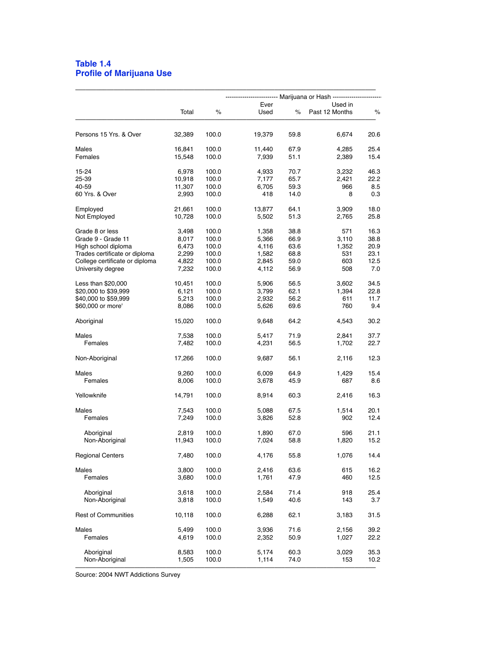#### **Table 1.4 Profile of Marijuana Use**

|                                                      | Total           | $\%$           | Ever<br>Used   | $\%$         | Used in<br>Past 12 Months | %            |  |  |  |
|------------------------------------------------------|-----------------|----------------|----------------|--------------|---------------------------|--------------|--|--|--|
| Persons 15 Yrs. & Over                               | 32,389          | 100.0          | 19,379         | 59.8         | 6,674                     | 20.6         |  |  |  |
| Males                                                | 16,841          | 100.0          | 11,440         | 67.9         | 4,285                     | 25.4         |  |  |  |
| Females                                              | 15,548          | 100.0          | 7,939          | 51.1         | 2,389                     | 15.4         |  |  |  |
| 15-24                                                | 6,978           | 100.0          | 4,933          | 70.7         | 3,232                     | 46.3         |  |  |  |
| 25-39<br>40-59                                       | 10,918          | 100.0          | 7,177          | 65.7         | 2,421                     | 22.2         |  |  |  |
| 60 Yrs. & Over                                       | 11,307<br>2,993 | 100.0<br>100.0 | 6,705<br>418   | 59.3<br>14.0 | 966<br>8                  | 8.5<br>0.3   |  |  |  |
| Employed                                             | 21,661          | 100.0          | 13,877         | 64.1         | 3,909                     | 18.0         |  |  |  |
| Not Employed                                         | 10,728          | 100.0          | 5,502          | 51.3         | 2,765                     | 25.8         |  |  |  |
| Grade 8 or less                                      | 3,498           | 100.0          | 1,358          | 38.8         | 571                       | 16.3         |  |  |  |
| Grade 9 - Grade 11                                   | 8,017           | 100.0          | 5,366          | 66.9         | 3,110                     | 38.8         |  |  |  |
| High school diploma<br>Trades certificate or diploma | 6,473<br>2,299  | 100.0<br>100.0 | 4,116<br>1,582 | 63.6<br>68.8 | 1,352<br>531              | 20.9<br>23.1 |  |  |  |
| College certificate or diploma                       | 4,822           | 100.0          | 2,845          | 59.0         | 603                       | 12.5         |  |  |  |
| University degree                                    | 7,232           | 100.0          | 4,112          | 56.9         | 508                       | 7.0          |  |  |  |
| Less than \$20,000                                   | 10,451          | 100.0          | 5,906          | 56.5         | 3,602                     | 34.5         |  |  |  |
| \$20,000 to \$39,999                                 | 6,121           | 100.0          | 3,799          | 62.1         | 1,394                     | 22.8         |  |  |  |
| \$40,000 to \$59,999                                 | 5,213           | 100.0          | 2,932          | 56.2         | 611                       | 11.7         |  |  |  |
| \$60,000 or more'                                    | 8,086           | 100.0          | 5,626          | 69.6         | 760                       | 9.4          |  |  |  |
| Aboriginal                                           | 15,020          | 100.0          | 9,648          | 64.2         | 4,543                     | 30.2         |  |  |  |
| Males                                                | 7,538           | 100.0          | 5,417          | 71.9         | 2,841                     | 37.7         |  |  |  |
| Females                                              | 7,482           | 100.0          | 4,231          | 56.5         | 1,702                     | 22.7         |  |  |  |
| Non-Aboriginal                                       | 17,266          | 100.0          | 9,687          | 56.1         | 2,116                     | 12.3         |  |  |  |
| Males                                                | 9,260           | 100.0          | 6,009          | 64.9         | 1,429                     | 15.4         |  |  |  |
| Females                                              | 8,006           | 100.0          | 3,678          | 45.9         | 687                       | 8.6          |  |  |  |
| Yellowknife                                          | 14,791          | 100.0          | 8,914          | 60.3         | 2,416                     | 16.3         |  |  |  |
| <b>Males</b>                                         | 7,543           | 100.0          | 5,088          | 67.5         | 1,514                     | 20.1         |  |  |  |
| Females                                              | 7,249           | 100.0          | 3,826          | 52.8         | 902                       | 12.4         |  |  |  |
| Aboriginal                                           | 2,819           | 100.0          | 1,890          | 67.0         | 596                       | 21.1         |  |  |  |
| Non-Aboriginal                                       | 11,943          | 100.0          | 7,024          | 58.8         | 1,820                     | 15.2         |  |  |  |
| <b>Regional Centers</b>                              | 7,480           | 100.0          | 4,176          | 55.8         | 1,076                     | 14.4         |  |  |  |
| Males                                                | 3.800           | 100.0          | 2.416          | 63.6         | 615                       | 16.2         |  |  |  |
| Females                                              | 3,680           | 100.0          | 1,761          | 47.9         | 460                       | 12.5         |  |  |  |
| Aboriginal                                           | 3,618           | 100.0          | 2,584          | 71.4         | 918                       | 25.4         |  |  |  |
| Non-Aboriginal                                       | 3,818           | 100.0          | 1,549          | 40.6         | 143                       | 3.7          |  |  |  |
| <b>Rest of Communities</b>                           | 10,118          | 100.0          | 6,288          | 62.1         | 3,183                     | 31.5         |  |  |  |
| Males                                                | 5,499           | 100.0          | 3,936          | 71.6         | 2,156                     | 39.2         |  |  |  |
| Females                                              | 4,619           | 100.0          | 2,352          | 50.9         | 1,027                     | 22.2         |  |  |  |
| Aboriginal                                           | 8,583           | 100.0          | 5,174          | 60.3         | 3,029                     | 35.3         |  |  |  |
| Non-Aboriginal                                       | 1,505           | 100.0          | 1,114          | 74.0         | 153                       | 10.2         |  |  |  |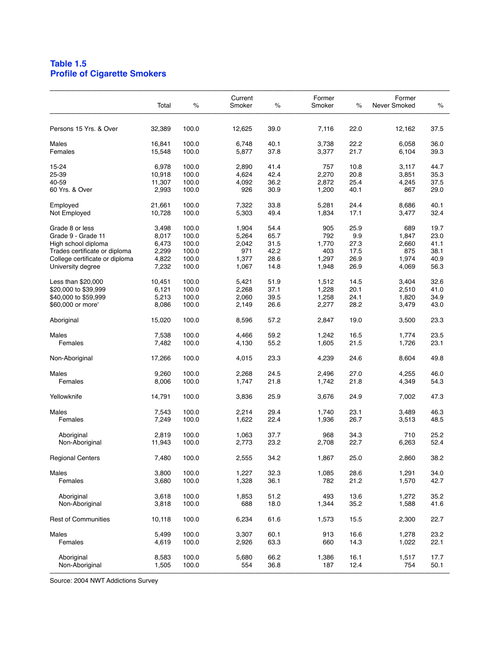## **Table 1.5 Profile of Cigarette Smokers**

| Persons 15 Yrs. & Over         | 32,389<br>16,841<br>15,548 | 100.0<br>100.0 | 12,625 |      |       |      |        |      |
|--------------------------------|----------------------------|----------------|--------|------|-------|------|--------|------|
|                                |                            |                |        | 39.0 | 7,116 | 22.0 | 12,162 | 37.5 |
| Males                          |                            |                | 6,748  | 40.1 | 3,738 | 22.2 | 6,058  | 36.0 |
| Females                        |                            | 100.0          | 5,877  | 37.8 | 3,377 | 21.7 | 6,104  | 39.3 |
| 15-24                          | 6,978                      | 100.0          | 2,890  | 41.4 | 757   | 10.8 | 3,117  | 44.7 |
| 25-39                          | 10,918                     | 100.0          | 4,624  | 42.4 | 2,270 | 20.8 | 3,851  | 35.3 |
| 40-59                          | 11,307                     | 100.0          | 4,092  | 36.2 | 2,872 | 25.4 | 4,245  | 37.5 |
| 60 Yrs. & Over                 | 2,993                      | 100.0          | 926    | 30.9 | 1,200 | 40.1 | 867    | 29.0 |
|                                |                            | 100.0          | 7,322  | 33.8 | 5,281 | 24.4 | 8,686  | 40.1 |
| Employed<br>Not Employed       | 21,661<br>10,728           | 100.0          | 5,303  | 49.4 | 1,834 | 17.1 | 3,477  | 32.4 |
|                                |                            |                |        |      |       |      |        |      |
| Grade 8 or less                | 3,498                      | 100.0          | 1,904  | 54.4 | 905   | 25.9 | 689    | 19.7 |
| Grade 9 - Grade 11             | 8,017                      | 100.0          | 5,264  | 65.7 | 792   | 9.9  | 1,847  | 23.0 |
| High school diploma            | 6,473                      | 100.0          | 2,042  | 31.5 | 1,770 | 27.3 | 2,660  | 41.1 |
| Trades certificate or diploma  | 2,299                      | 100.0          | 971    | 42.2 | 403   | 17.5 | 875    | 38.1 |
| College certificate or diploma | 4,822                      | 100.0          | 1,377  | 28.6 | 1,297 | 26.9 | 1,974  | 40.9 |
| University degree              | 7,232                      | 100.0          | 1,067  | 14.8 | 1,948 | 26.9 | 4,069  | 56.3 |
| Less than $$20,000$            | 10,451                     | 100.0          | 5,421  | 51.9 | 1,512 | 14.5 | 3,404  | 32.6 |
| \$20,000 to \$39,999           | 6,121                      | 100.0          | 2,268  | 37.1 | 1,228 | 20.1 | 2,510  | 41.0 |
| \$40,000 to \$59,999           | 5,213                      | 100.0          | 2.060  | 39.5 | 1,258 | 24.1 | 1,820  | 34.9 |
| \$60,000 or more'              | 8,086                      | 100.0          | 2,149  | 26.6 | 2,277 | 28.2 | 3,479  | 43.0 |
| Aboriginal                     | 15,020                     | 100.0          | 8,596  | 57.2 | 2,847 | 19.0 | 3,500  | 23.3 |
|                                |                            |                |        |      |       |      |        |      |
| Males                          | 7,538                      | 100.0          | 4,466  | 59.2 | 1,242 | 16.5 | 1,774  | 23.5 |
| Females                        | 7,482                      | 100.0          | 4,130  | 55.2 | 1,605 | 21.5 | 1,726  | 23.1 |
| Non-Aboriginal                 | 17,266                     | 100.0          | 4,015  | 23.3 | 4,239 | 24.6 | 8,604  | 49.8 |
| Males                          | 9,260                      | 100.0          | 2,268  | 24.5 | 2,496 | 27.0 | 4,255  | 46.0 |
| Females                        | 8,006                      | 100.0          | 1,747  | 21.8 | 1,742 | 21.8 | 4,349  | 54.3 |
|                                |                            |                |        |      |       |      |        |      |
| Yellowknife                    | 14,791                     | 100.0          | 3,836  | 25.9 | 3,676 | 24.9 | 7,002  | 47.3 |
| Males                          | 7,543                      | 100.0          | 2,214  | 29.4 | 1,740 | 23.1 | 3,489  | 46.3 |
| Females                        | 7,249                      | 100.0          | 1,622  | 22.4 | 1,936 | 26.7 | 3,513  | 48.5 |
| Aboriginal                     | 2,819                      | 100.0          | 1,063  | 37.7 | 968   | 34.3 | 710    | 25.2 |
| Non-Aboriginal                 | 11,943                     | 100.0          | 2,773  | 23.2 | 2,708 | 22.7 | 6,263  | 52.4 |
|                                |                            |                |        |      |       |      |        |      |
| <b>Regional Centers</b>        | 7,480                      | 100.0          | 2,555  | 34.2 | 1,867 | 25.0 | 2,860  | 38.2 |
| Males                          | 3,800                      | 100.0          | 1,227  | 32.3 | 1,085 | 28.6 | 1,291  | 34.0 |
| Females                        | 3,680                      | 100.0          | 1,328  | 36.1 | 782   | 21.2 | 1,570  | 42.7 |
|                                |                            |                |        |      |       |      |        |      |
| Aboriginal                     | 3,618                      | 100.0          | 1,853  | 51.2 | 493   | 13.6 | 1,272  | 35.2 |
| Non-Aboriginal                 | 3,818                      | 100.0          | 688    | 18.0 | 1,344 | 35.2 | 1,588  | 41.6 |
| <b>Rest of Communities</b>     | 10,118                     | 100.0          | 6,234  | 61.6 | 1,573 | 15.5 | 2,300  | 22.7 |
| Males                          | 5,499                      | 100.0          | 3,307  | 60.1 | 913   | 16.6 | 1,278  | 23.2 |
| Females                        | 4,619                      | 100.0          | 2,926  | 63.3 | 660   | 14.3 | 1,022  | 22.1 |
|                                |                            |                |        |      |       |      |        |      |
| Aboriginal                     | 8,583                      | 100.0          | 5,680  | 66.2 | 1,386 | 16.1 | 1,517  | 17.7 |
| Non-Aboriginal                 | 1,505                      | 100.0          | 554    | 36.8 | 187   | 12.4 | 754    | 50.1 |